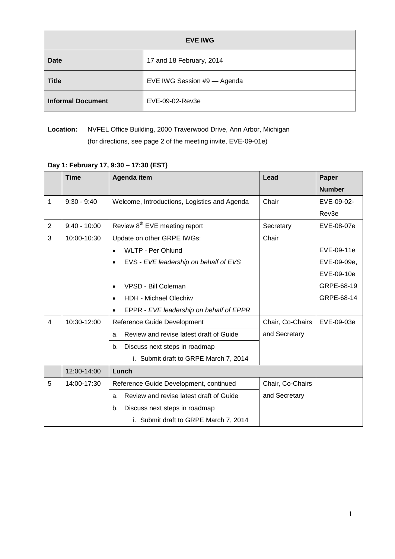| <b>EVE IWG</b>           |                             |  |  |  |
|--------------------------|-----------------------------|--|--|--|
| Date                     | 17 and 18 February, 2014    |  |  |  |
| <b>Title</b>             | EVE IWG Session #9 - Agenda |  |  |  |
| <b>Informal Document</b> | EVE-09-02-Rev3e             |  |  |  |

**Location:** NVFEL Office Building, 2000 Traverwood Drive, Ann Arbor, Michigan (for directions, see page 2 of the meeting invite, EVE-09-01e)

|                | <b>Time</b>    | Agenda item                                          | Lead             | Paper         |
|----------------|----------------|------------------------------------------------------|------------------|---------------|
|                |                |                                                      |                  | <b>Number</b> |
| 1              | $9:30 - 9:40$  | Welcome, Introductions, Logistics and Agenda         | Chair            | EVE-09-02-    |
|                |                |                                                      |                  | Rev3e         |
| $\overline{2}$ | $9:40 - 10:00$ | Review 8 <sup>th</sup> EVE meeting report            | Secretary        | EVE-08-07e    |
| 3              | 10:00-10:30    | Update on other GRPE IWGs:                           | Chair            |               |
|                |                | <b>WLTP - Per Ohlund</b>                             |                  | EVE-09-11e    |
|                |                | EVS - EVE leadership on behalf of EVS<br>$\bullet$   |                  | EVE-09-09e,   |
|                |                |                                                      |                  | EVE-09-10e    |
|                |                | VPSD - Bill Coleman<br>$\bullet$                     |                  | GRPE-68-19    |
|                |                | <b>HDH - Michael Olechiw</b><br>$\bullet$            |                  | GRPE-68-14    |
|                |                | EPPR - EVE leadership on behalf of EPPR<br>$\bullet$ |                  |               |
| 4              | 10:30-12:00    | Reference Guide Development                          | Chair, Co-Chairs | EVE-09-03e    |
|                |                | Review and revise latest draft of Guide<br>a.        | and Secretary    |               |
|                |                | b.<br>Discuss next steps in roadmap                  |                  |               |
|                |                | i. Submit draft to GRPE March 7, 2014                |                  |               |
|                | 12:00-14:00    | Lunch                                                |                  |               |
| 5              | 14:00-17:30    | Reference Guide Development, continued               | Chair, Co-Chairs |               |
|                |                | Review and revise latest draft of Guide<br>a.        | and Secretary    |               |
|                |                | Discuss next steps in roadmap<br>b.                  |                  |               |
|                |                | i. Submit draft to GRPE March 7, 2014                |                  |               |